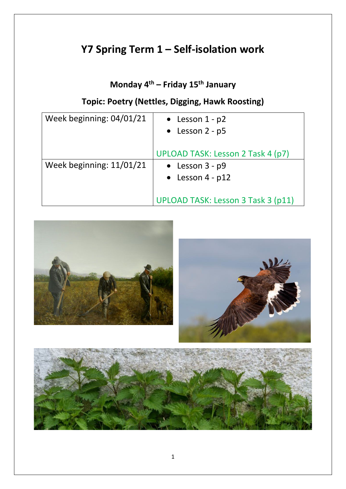# **Y7 Spring Term 1 – Self-isolation work**

## **Monday 4th – Friday 15th January**

## **Topic: Poetry (Nettles, Digging, Hawk Roosting)**

| Week beginning: 04/01/21 | • Lesson $1 - p2$<br>• Lesson $2 - p5$                                                                             |  |
|--------------------------|--------------------------------------------------------------------------------------------------------------------|--|
| Week beginning: 11/01/21 | UPLOAD TASK: Lesson 2 Task 4 (p7)<br>• Lesson $3 - p9$<br>• Lesson $4 - p12$<br>UPLOAD TASK: Lesson 3 Task 3 (p11) |  |

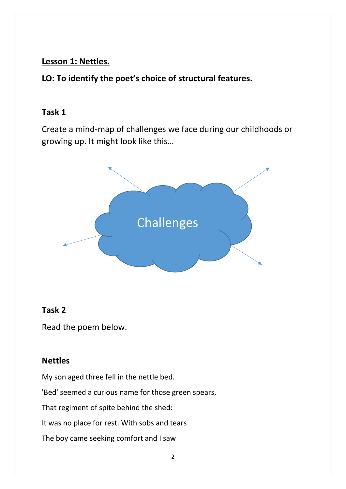#### **Lesson 1: Nettles.**

**LO: To identify the poet's choice of structural features.** 

#### **Task 1**

Create a mind-map of challenges we face during our childhoods or growing up. It might look like this…



#### **Task 2**

Read the poem below.

#### **Nettles**

My son aged three fell in the nettle bed.

'Bed' seemed a curious name for those green spears,

That regiment of spite behind the shed:

It was no place for rest. With sobs and tears

The boy came seeking comfort and I saw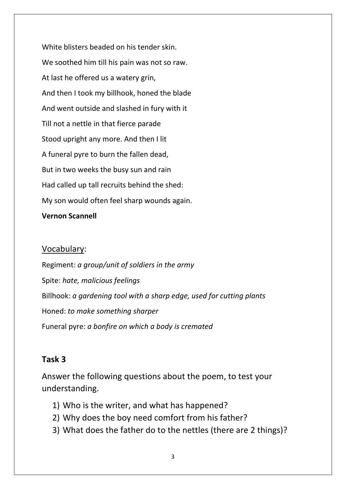White blisters beaded on his tender skin. We soothed him till his pain was not so raw. At last he offered us a watery grin, And then I took my billhook, honed the blade And went outside and slashed in fury with it Till not a nettle in that fierce parade Stood upright any more. And then I lit A funeral pyre to burn the fallen dead, But in two weeks the busy sun and rain Had called up tall recruits behind the shed: My son would often feel sharp wounds again.

#### **Vernon Scannell**

#### Vocabulary:

Regiment: *a group/unit of soldiers in the army* Spite: *hate, malicious feelings* Billhook: *a gardening tool with a sharp edge, used for cutting plants* Honed: *to make something sharper* Funeral pyre: *a bonfire on which a body is cremated*

#### **Task 3**

Answer the following questions about the poem, to test your understanding.

- 1) Who is the writer, and what has happened?
- 2) Why does the boy need comfort from his father?
- 3) What does the father do to the nettles (there are 2 things)?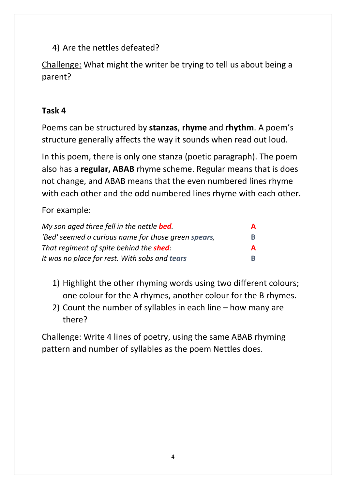4) Are the nettles defeated?

Challenge: What might the writer be trying to tell us about being a parent?

### **Task 4**

Poems can be structured by **stanzas**, **rhyme** and **rhythm**. A poem's structure generally affects the way it sounds when read out loud.

In this poem, there is only one stanza (poetic paragraph). The poem also has a **regular, ABAB** rhyme scheme. Regular means that is does not change, and ABAB means that the even numbered lines rhyme with each other and the odd numbered lines rhyme with each other.

For example:

| My son aged three fell in the nettle <b>bed</b> .   | A |
|-----------------------------------------------------|---|
| 'Bed' seemed a curious name for those green spears, | В |
| That regiment of spite behind the <b>shed</b> :     | A |
| It was no place for rest. With sobs and tears       | R |

- 1) Highlight the other rhyming words using two different colours; one colour for the A rhymes, another colour for the B rhymes.
- 2) Count the number of syllables in each line how many are there?

Challenge: Write 4 lines of poetry, using the same ABAB rhyming pattern and number of syllables as the poem Nettles does.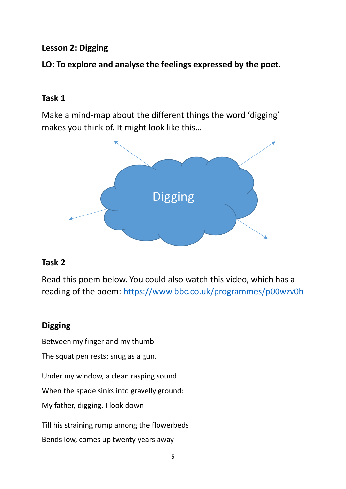#### **Lesson 2: Digging**

**LO: To explore and analyse the feelings expressed by the poet.**

#### **Task 1**

Make a mind-map about the different things the word 'digging' makes you think of. It might look like this…



#### **Task 2**

Read this poem below. You could also watch this video, which has a reading of the poem:<https://www.bbc.co.uk/programmes/p00wzv0h>

## **Digging**

Between my finger and my thumb

The squat pen rests; snug as a gun.

Under my window, a clean rasping sound

When the spade sinks into gravelly ground:

My father, digging. I look down

Till his straining rump among the flowerbeds

Bends low, comes up twenty years away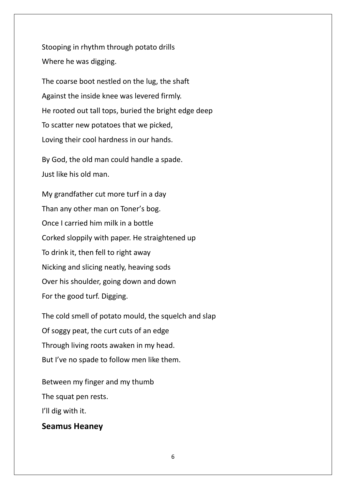Stooping in rhythm through potato drills Where he was digging.

The coarse boot nestled on the lug, the shaft Against the inside knee was levered firmly. He rooted out tall tops, buried the bright edge deep To scatter new potatoes that we picked, Loving their cool hardness in our hands.

By God, the old man could handle a spade. Just like his old man.

My grandfather cut more turf in a day Than any other man on Toner's bog. Once I carried him milk in a bottle Corked sloppily with paper. He straightened up To drink it, then fell to right away Nicking and slicing neatly, heaving sods Over his shoulder, going down and down For the good turf. Digging.

The cold smell of potato mould, the squelch and slap Of soggy peat, the curt cuts of an edge Through living roots awaken in my head. But I've no spade to follow men like them.

Between my finger and my thumb The squat pen rests.

I'll dig with it.

#### **Seamus Heaney**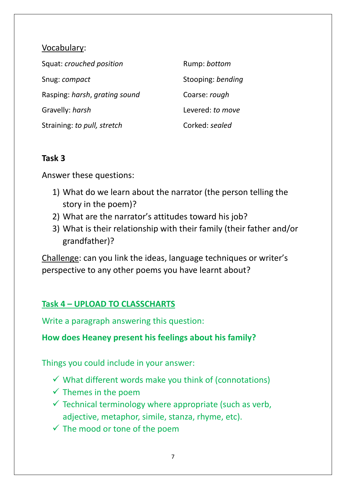#### Vocabulary:

| Squat: crouched position      | Rump: bottom      |
|-------------------------------|-------------------|
| Snug: compact                 | Stooping: bending |
| Rasping: harsh, grating sound | Coarse: rough     |
| Gravelly: harsh               | Levered: to move  |
| Straining: to pull, stretch   | Corked: sealed    |

#### **Task 3**

Answer these questions:

- 1) What do we learn about the narrator (the person telling the story in the poem)?
- 2) What are the narrator's attitudes toward his job?
- 3) What is their relationship with their family (their father and/or grandfather)?

Challenge: can you link the ideas, language techniques or writer's perspective to any other poems you have learnt about?

## **Task 4 – UPLOAD TO CLASSCHARTS**

Write a paragraph answering this question:

#### **How does Heaney present his feelings about his family?**

Things you could include in your answer:

- $\checkmark$  What different words make you think of (connotations)
- $\checkmark$  Themes in the poem
- $\checkmark$  Technical terminology where appropriate (such as verb, adjective, metaphor, simile, stanza, rhyme, etc).
- $\checkmark$  The mood or tone of the poem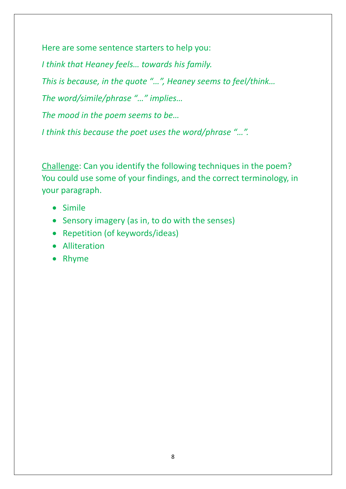Here are some sentence starters to help you:

*I think that Heaney feels… towards his family. This is because, in the quote "…", Heaney seems to feel/think… The word/simile/phrase "…" implies… The mood in the poem seems to be… I think this because the poet uses the word/phrase "…".*

Challenge: Can you identify the following techniques in the poem? You could use some of your findings, and the correct terminology, in your paragraph.

- Simile
- Sensory imagery (as in, to do with the senses)
- Repetition (of keywords/ideas)
- Alliteration
- Rhyme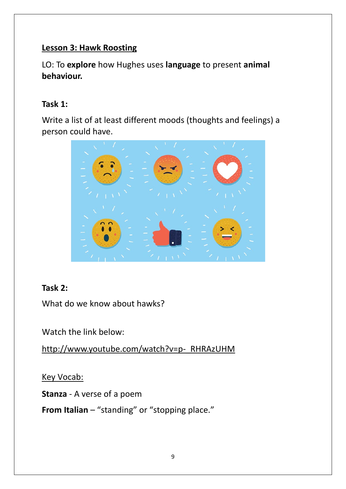#### **Lesson 3: Hawk Roosting**

LO: To **explore** how Hughes uses **language** to present **animal behaviour.**

#### **Task 1:**

Write a list of at least different moods (thoughts and feelings) a person could have.



## **Task 2:**

What do we know about hawks?

Watch the link below:

[http://www.youtube.com/watch?v=p-\\_RHRAzUHM](http://www.youtube.com/watch?v=p-_RHRAzUHM)

**Key Vocab:** 

**Stanza** - A verse of a poem

**From Italian** – "standing" or "stopping place."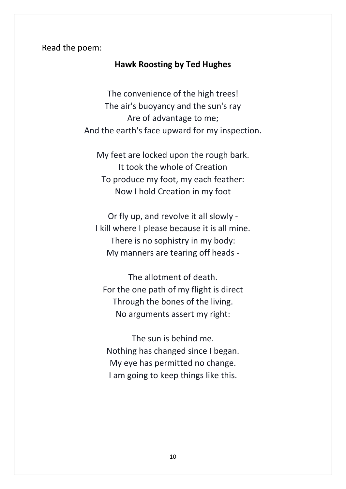Read the poem:

#### **Hawk Roosting by Ted Hughes**

The convenience of the high trees! The air's buoyancy and the sun's ray Are of advantage to me; And the earth's face upward for my inspection.

My feet are locked upon the rough bark. It took the whole of Creation To produce my foot, my each feather: Now I hold Creation in my foot

Or fly up, and revolve it all slowly - I kill where I please because it is all mine. There is no sophistry in my body: My manners are tearing off heads -

The allotment of death. For the one path of my flight is direct Through the bones of the living. No arguments assert my right:

The sun is behind me. Nothing has changed since I began. My eye has permitted no change. I am going to keep things like this.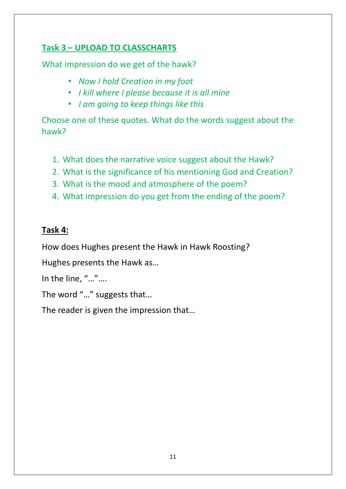## **Task 3 – UPLOAD TO CLASSCHARTS**

What impression do we get of the hawk?

- *Now I hold Creation in my foot*
- *I kill where I please because it is all mine*
- *I am going to keep things like this*

Choose one of these quotes. What do the words suggest about the hawk?

- 1. What does the narrative voice suggest about the Hawk?
- 2. What is the significance of his mentioning God and Creation?
- 3. What is the mood and atmosphere of the poem?
- 4. What impression do you get from the ending of the poem?

#### **Task 4:**

How does Hughes present the Hawk in Hawk Roosting?

Hughes presents the Hawk as…

In the line, "…"….

The word "…" suggests that…

The reader is given the impression that…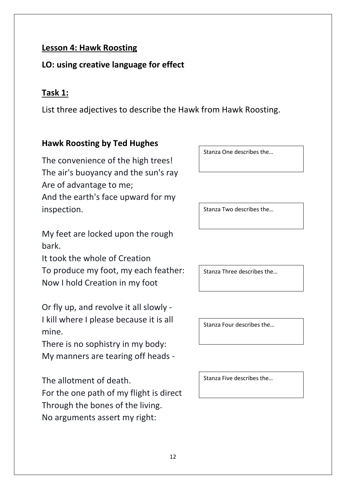#### **Lesson 4: Hawk Roosting**

#### **LO: using creative language for effect**

#### **Task 1:**

List three adjectives to describe the Hawk from Hawk Roosting.

#### **Hawk Roosting by Ted Hughes**

The convenience of the high trees! The air's buoyancy and the sun's ray Are of advantage to me; And the earth's face upward for my inspection.

My feet are locked upon the rough bark.

It took the whole of Creation To produce my foot, my each feather: Now I hold Creation in my foot

Or fly up, and revolve it all slowly - I kill where I please because it is all mine.

There is no sophistry in my body: My manners are tearing off heads -

The allotment of death.

For the one path of my flight is direct Through the bones of the living. No arguments assert my right:

Stanza One describes the…

Stanza Two describes the…

Stanza Three describes the…

Stanza Four describes the…

Stanza Five describes the…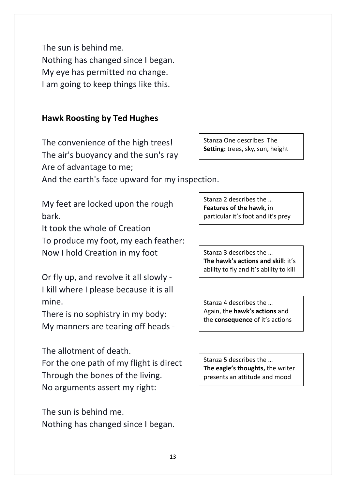The sun is behind me. Nothing has changed since I began. My eye has permitted no change. I am going to keep things like this.

#### **Hawk Roosting by Ted Hughes**

The convenience of the high trees! The air's buoyancy and the sun's ray Are of advantage to me;

And the earth's face upward for my inspection.

My feet are locked upon the rough bark.

It took the whole of Creation To produce my foot, my each feather: Now I hold Creation in my foot

Or fly up, and revolve it all slowly - I kill where I please because it is all mine.

There is no sophistry in my body: My manners are tearing off heads -

The allotment of death.

For the one path of my flight is direct Through the bones of the living. No arguments assert my right:

The sun is behind me. Nothing has changed since I began. Stanza One describes The **Setting:** trees, sky, sun, height

Stanza 2 describes the … **Features of the hawk,** in particular it's foot and it's prey

Stanza 3 describes the … **The hawk's actions and skill**: it's ability to fly and it's ability to kill

Stanza 4 describes the … Again, the **hawk's actions** and the **consequence** of it's actions

Stanza 5 describes the … **The eagle's thoughts,** the writer presents an attitude and mood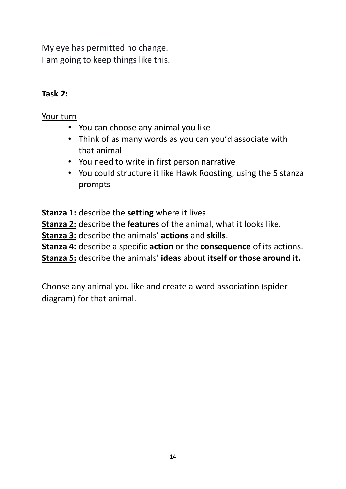My eye has permitted no change. I am going to keep things like this.

#### **Task 2:**

#### Your turn

- You can choose any animal you like
- Think of as many words as you can you'd associate with that animal
- You need to write in first person narrative
- You could structure it like Hawk Roosting, using the 5 stanza prompts

**Stanza 1:** describe the **setting** where it lives.

**Stanza 2:** describe the **features** of the animal, what it looks like.

**Stanza 3:** describe the animals' **actions** and **skills**.

**Stanza 4:** describe a specific **action** or the **consequence** of its actions.

**Stanza 5:** describe the animals' **ideas** about **itself or those around it.**

Choose any animal you like and create a word association (spider diagram) for that animal.